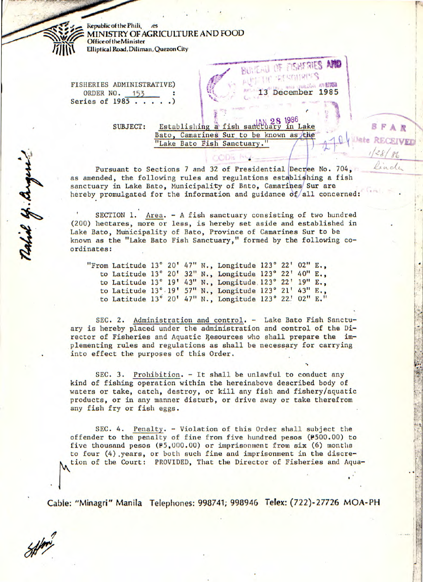**Republic of the Phili**, **MINISTRY OF AGRICULTURE AND FOOD Office of the Minister** Elliptical Road, Diliman, Quezon City

FISHERIES ADMINISTRATIVE) ORDER NO. 153 Series of 1985.

**SUBJECT:** 

Establishing a fish sandwary in Lake Bato, Camarines Sur to be known as the "Lake Bato Fish Sanctuary.

BUNEAU OF FISHERIES AN **IF DESCRIPTION** 

13

ULLING AVENUE

BFAR

ate RECEIVED

December 1985

Pursuant to Sections 7 and 32 of Presidential Decree No. 704, as amended, the following rules and regulations establishing a fish sanctuary in Lake Bato, Municipality of Bato, Camarines Sur are hereby promulgated for the information and guidance  $of/all$  concerned:

SECTION 1. Area. - A fish sanctuary consisting of two hundred (200) hectares, more or less, is hereby set aside and established in Lake Bato, Municipality of Bato, Province of Camarines Sur to be known as the "Lake Bato Fish Sanctuary," formed by the following coordinates:

"From Latitude 13° 20' 47" N., Longitude 123° 22' 02" E., to Latitude 13° 20' 32" N., Longitude 123° 22' 40" E., to Latitude 13° 19' 43" N., Longitude 123° 22' 19" E., to Latitude 13° 19' 57" N., Longitude 123° 21' 43" E., to Latitude 13° 20' 47" N., Longitude 123° 22' 02" E."

SEC. 2. Administration and control. - Lake Bato Fish Sanctuary is hereby placed under the administration and control of the Director of Fisheries and Aquatic Resources who shall prepare the implementing rules and regulations as shall be necessary for carrying into effect the purposes of this Order.

SEC. 3. Prohibition. - It shall be unlawful to conduct any kind of fishing operation within the hereinabove described body of waters or take, catch, destroy, or kill any fish and fishery/aquatic products, or in any manner disturb, or drive away or take therefrom any fish fry or fish eggs.

SEC. 4. Penalty. - Violation of this Order shall subject the offender to the penalty of fine from five hundred pesos (P500.00) to five thousand pesos  $(P5,000.00)$  or imprisonment from six (6) months to four (4) years, or both such fine and imprisonment in the discretion of the Court: PROVIDED, That the Director of Fisheries and Aqua-

Cable: "Minagri" Manila Telephones: 998741; 998946 Telex: (722)-27726 MOA-PH

Ratiol of . Anger